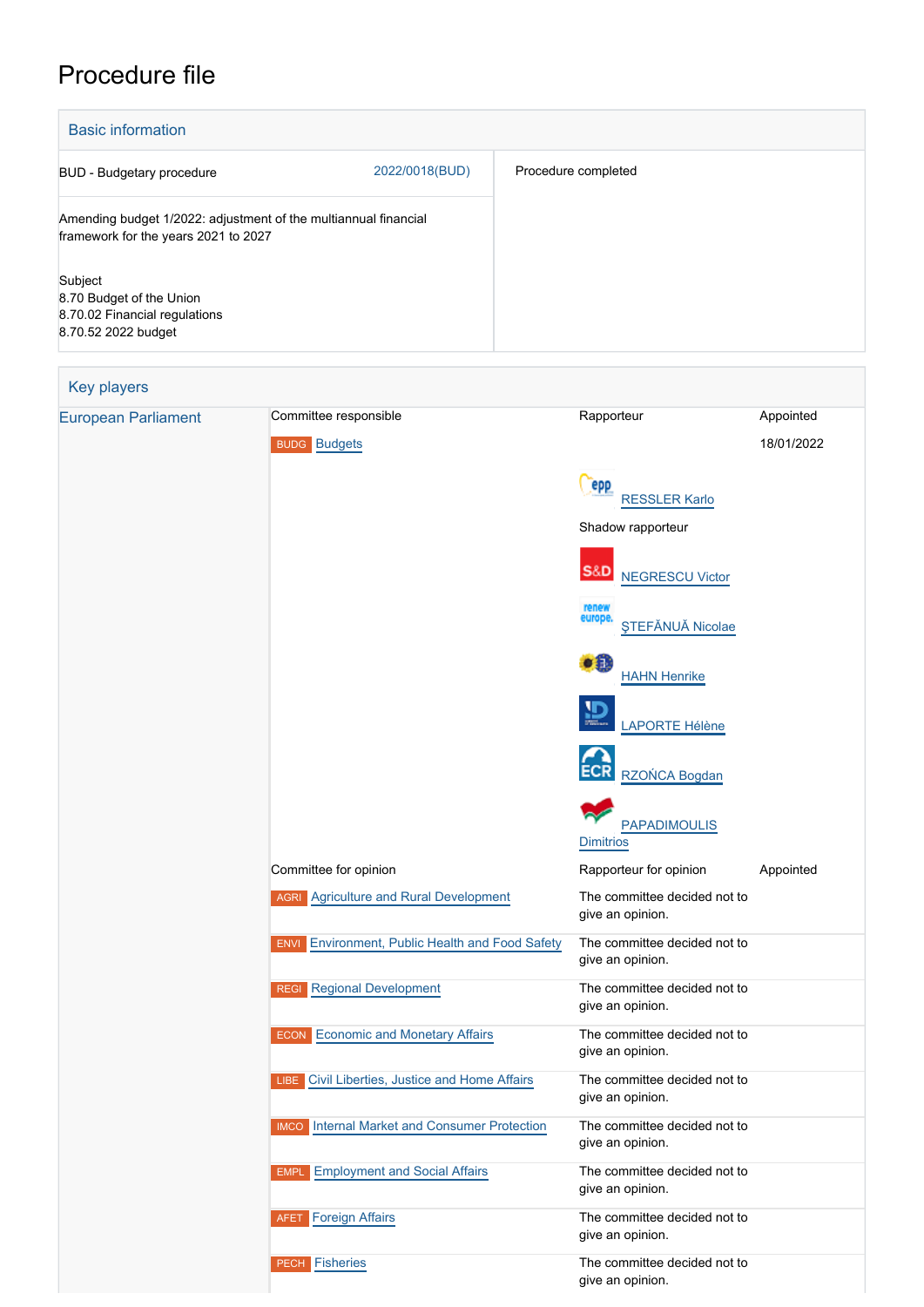# Procedure file

| <b>Basic information</b>                                                                                |                |                     |
|---------------------------------------------------------------------------------------------------------|----------------|---------------------|
| BUD - Budgetary procedure                                                                               | 2022/0018(BUD) | Procedure completed |
| Amending budget 1/2022: adjustment of the multiannual financial<br>framework for the years 2021 to 2027 |                |                     |
| Subject<br>8.70 Budget of the Union<br>8.70.02 Financial regulations<br>8.70.52 2022 budget             |                |                     |

## Key players [European Parliament](http://www.europarl.europa.eu/) Committee responsible **Committee Rapporteur** Rapporteur Appointed BUDG [Budgets](http://www.europarl.europa.eu/committees/en/budg/home.html) 18/01/2022 epp [RESSLER Karlo](http://www.europarl.europa.eu/meps/en/197413) Shadow rapporteur S&D [NEGRESCU Victor](http://www.europarl.europa.eu/meps/en/88882) [ŞTEFĂNUĂ Nicolae](http://www.europarl.europa.eu/meps/en/58766) e fi [HAHN Henrike](http://www.europarl.europa.eu/meps/en/197457) [LAPORTE Hélène](http://www.europarl.europa.eu/meps/en/197597) [RZOŃCA Bogdan](http://www.europarl.europa.eu/meps/en/197545) [PAPADIMOULIS](http://www.europarl.europa.eu/meps/en/28586) **[Dimitrios](http://www.europarl.europa.eu/meps/en/28586)** Committee for opinion **Committee for opinion** Rapporteur for opinion Appointed AGRI [Agriculture and Rural Development](http://www.europarl.europa.eu/committees/en/agri/home.html) The committee decided not to give an opinion. ENVI [Environment, Public Health and Food Safety](http://www.europarl.europa.eu/committees/en/envi/home.html) The committee decided not to give an opinion. REGI [Regional Development](http://www.europarl.europa.eu/committees/en/regi/home.html) The committee decided not to give an opinion. ECON [Economic and Monetary Affairs](http://www.europarl.europa.eu/committees/en/econ/home.html) The committee decided not to give an opinion. LIBE [Civil Liberties, Justice and Home Affairs](http://www.europarl.europa.eu/committees/en/libe/home.html) The committee decided not to give an opinion. IMCO [Internal Market and Consumer Protection](http://www.europarl.europa.eu/committees/en/imco/home.html) The committee decided not to give an opinion. EMPL [Employment and Social Affairs](http://www.europarl.europa.eu/committees/en/empl/home.html) The committee decided not to give an opinion. AFET [Foreign Affairs](http://www.europarl.europa.eu/committees/en/afet/home.html) The committee decided not to give an opinion. PECH [Fisheries](http://www.europarl.europa.eu/committees/en/pech/home.html) The committee decided not to give an opinion.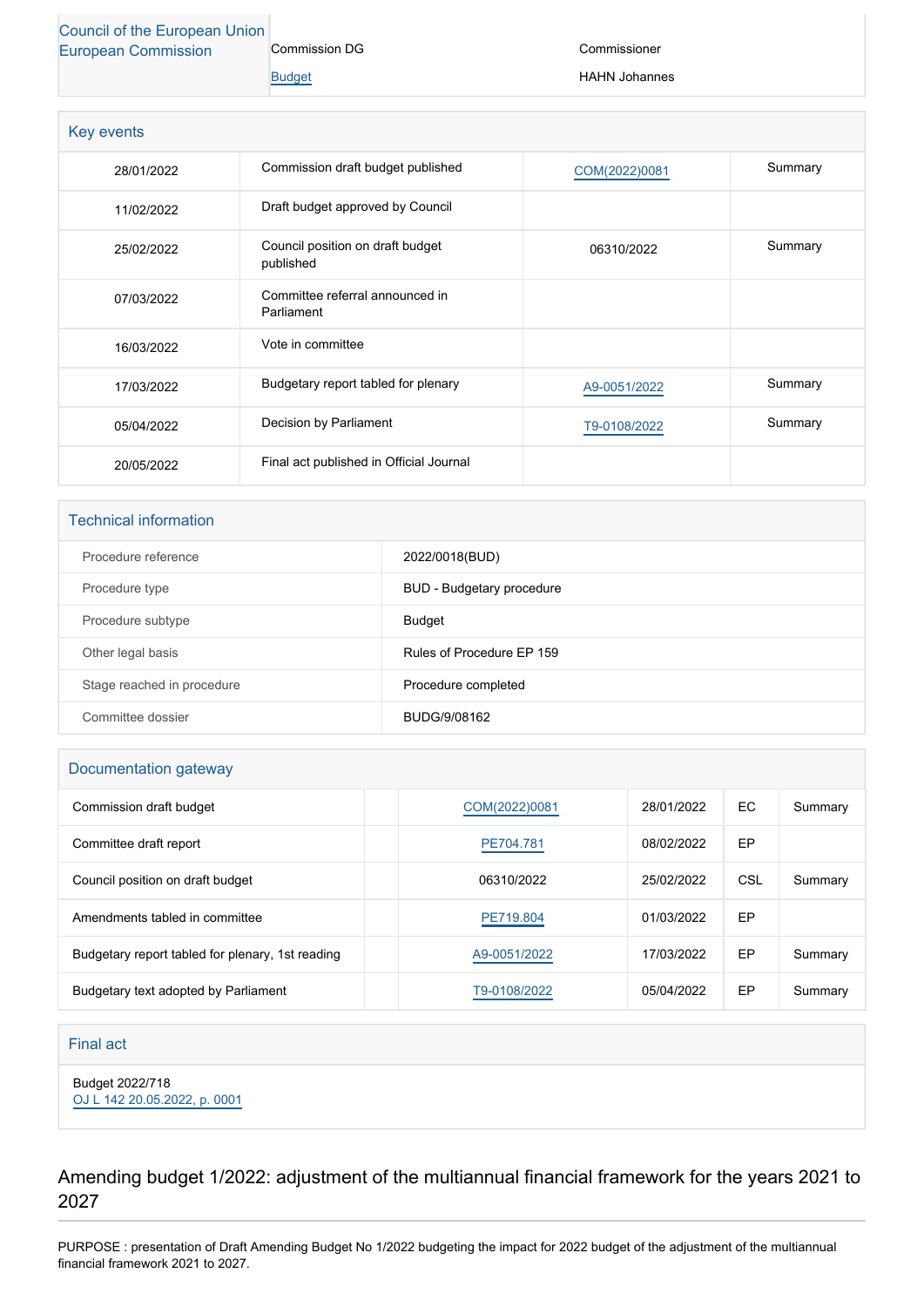#### [Council of the European Union](http://www.consilium.europa.eu) [European Commission](http://ec.europa.eu/) Commission DG

[Budget](http://ec.europa.eu/info/departments/budget_en)

Commissioner

HAHN Johannes

| Key events |                                               |               |         |
|------------|-----------------------------------------------|---------------|---------|
| 28/01/2022 | Commission draft budget published             | COM(2022)0081 | Summary |
| 11/02/2022 | Draft budget approved by Council              |               |         |
| 25/02/2022 | Council position on draft budget<br>published | 06310/2022    | Summary |
| 07/03/2022 | Committee referral announced in<br>Parliament |               |         |
| 16/03/2022 | Vote in committee                             |               |         |
| 17/03/2022 | Budgetary report tabled for plenary           | A9-0051/2022  | Summary |
| 05/04/2022 | Decision by Parliament                        | T9-0108/2022  | Summary |
| 20/05/2022 | Final act published in Official Journal       |               |         |

#### Technical information

| Procedure reference        | 2022/0018(BUD)            |
|----------------------------|---------------------------|
| Procedure type             | BUD - Budgetary procedure |
| Procedure subtype          | <b>Budget</b>             |
| Other legal basis          | Rules of Procedure EP 159 |
| Stage reached in procedure | Procedure completed       |
| Committee dossier          | BUDG/9/08162              |

#### Documentation gateway

| Commission draft budget                          | COM(2022)0081 | 28/01/2022 | EC  | Summary |
|--------------------------------------------------|---------------|------------|-----|---------|
| Committee draft report                           | PE704.781     | 08/02/2022 | EP  |         |
| Council position on draft budget                 | 06310/2022    | 25/02/2022 | CSL | Summary |
| Amendments tabled in committee                   | PE719.804     | 01/03/2022 | EP  |         |
| Budgetary report tabled for plenary, 1st reading | A9-0051/2022  | 17/03/2022 | EP  | Summary |
| Budgetary text adopted by Parliament             | T9-0108/2022  | 05/04/2022 | EP  | Summary |

#### Final act

Budget 2022/718

[OJ L 142 20.05.2022, p. 0001](https://eur-lex.europa.eu/legal-content/EN/TXT/?uri=OJ:L:2022:142:TOC)

Amending budget 1/2022: adjustment of the multiannual financial framework for the years 2021 to 2027

PURPOSE : presentation of Draft Amending Budget No 1/2022 budgeting the impact for 2022 budget of the adjustment of the multiannual financial framework 2021 to 2027.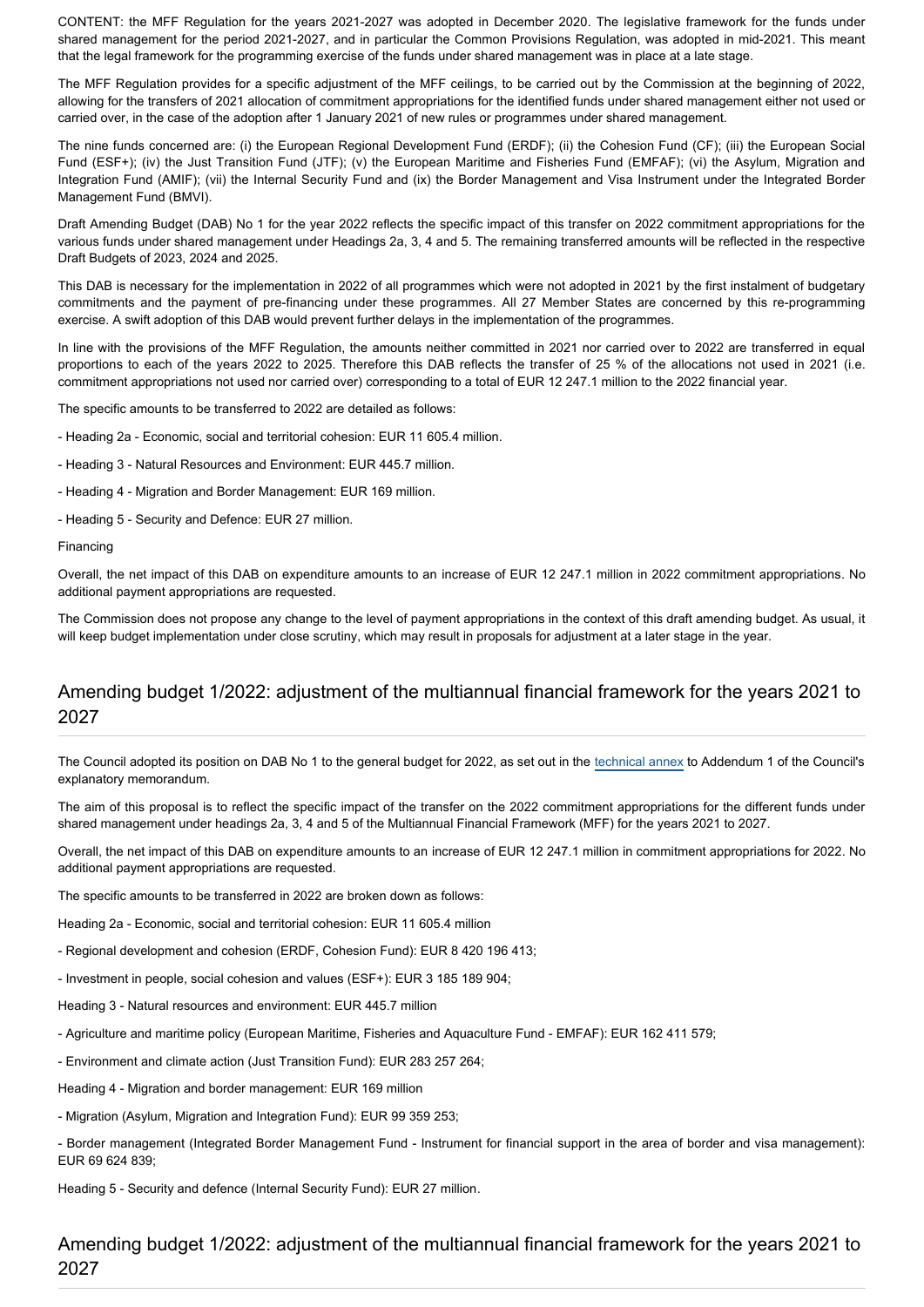CONTENT: the MFF Regulation for the years 2021-2027 was adopted in December 2020. The legislative framework for the funds under shared management for the period 2021-2027, and in particular the Common Provisions Regulation, was adopted in mid-2021. This meant that the legal framework for the programming exercise of the funds under shared management was in place at a late stage.

The MFF Regulation provides for a specific adjustment of the MFF ceilings, to be carried out by the Commission at the beginning of 2022, allowing for the transfers of 2021 allocation of commitment appropriations for the identified funds under shared management either not used or carried over, in the case of the adoption after 1 January 2021 of new rules or programmes under shared management.

The nine funds concerned are: (i) the European Regional Development Fund (ERDF); (ii) the Cohesion Fund (CF); (iii) the European Social Fund (ESF+); (iv) the Just Transition Fund (JTF); (v) the European Maritime and Fisheries Fund (EMFAF); (vi) the Asylum, Migration and Integration Fund (AMIF); (vii) the Internal Security Fund and (ix) the Border Management and Visa Instrument under the Integrated Border Management Fund (BMVI).

Draft Amending Budget (DAB) No 1 for the year 2022 reflects the specific impact of this transfer on 2022 commitment appropriations for the various funds under shared management under Headings 2a, 3, 4 and 5. The remaining transferred amounts will be reflected in the respective Draft Budgets of 2023, 2024 and 2025.

This DAB is necessary for the implementation in 2022 of all programmes which were not adopted in 2021 by the first instalment of budgetary commitments and the payment of pre-financing under these programmes. All 27 Member States are concerned by this re-programming exercise. A swift adoption of this DAB would prevent further delays in the implementation of the programmes.

In line with the provisions of the MFF Regulation, the amounts neither committed in 2021 nor carried over to 2022 are transferred in equal proportions to each of the years 2022 to 2025. Therefore this DAB reflects the transfer of 25 % of the allocations not used in 2021 (i.e. commitment appropriations not used nor carried over) corresponding to a total of EUR 12 247.1 million to the 2022 financial year.

The specific amounts to be transferred to 2022 are detailed as follows:

- Heading 2a Economic, social and territorial cohesion: EUR 11 605.4 million.
- Heading 3 Natural Resources and Environment: EUR 445.7 million.
- Heading 4 Migration and Border Management: EUR 169 million.
- Heading 5 Security and Defence: EUR 27 million.

#### Financing

Overall, the net impact of this DAB on expenditure amounts to an increase of EUR 12 247.1 million in 2022 commitment appropriations. No additional payment appropriations are requested.

The Commission does not propose any change to the level of payment appropriations in the context of this draft amending budget. As usual, it will keep budget implementation under close scrutiny, which may result in proposals for adjustment at a later stage in the year.

#### Amending budget 1/2022: adjustment of the multiannual financial framework for the years 2021 to 2027

The Council adopted its position on DAB No 1 to the general budget for 2022, as set out in the [technical annex](https://data.consilium.europa.eu/doc/document/ST-6310-2022-ADD-1/en/pdf) to Addendum 1 of the Council's explanatory memorandum.

The aim of this proposal is to reflect the specific impact of the transfer on the 2022 commitment appropriations for the different funds under shared management under headings 2a, 3, 4 and 5 of the Multiannual Financial Framework (MFF) for the years 2021 to 2027.

Overall, the net impact of this DAB on expenditure amounts to an increase of EUR 12 247.1 million in commitment appropriations for 2022. No additional payment appropriations are requested.

The specific amounts to be transferred in 2022 are broken down as follows:

Heading 2a - Economic, social and territorial cohesion: EUR 11 605.4 million

- Regional development and cohesion (ERDF, Cohesion Fund): EUR 8 420 196 413;
- Investment in people, social cohesion and values (ESF+): EUR 3 185 189 904;
- Heading 3 Natural resources and environment: EUR 445.7 million
- Agriculture and maritime policy (European Maritime, Fisheries and Aquaculture Fund EMFAF): EUR 162 411 579;
- Environment and climate action (Just Transition Fund): EUR 283 257 264;
- Heading 4 Migration and border management: EUR 169 million
- Migration (Asylum, Migration and Integration Fund): EUR 99 359 253;
- Border management (Integrated Border Management Fund Instrument for financial support in the area of border and visa management): EUR 69 624 839;

Heading 5 - Security and defence (Internal Security Fund): EUR 27 million.

Amending budget 1/2022: adjustment of the multiannual financial framework for the years 2021 to 2027